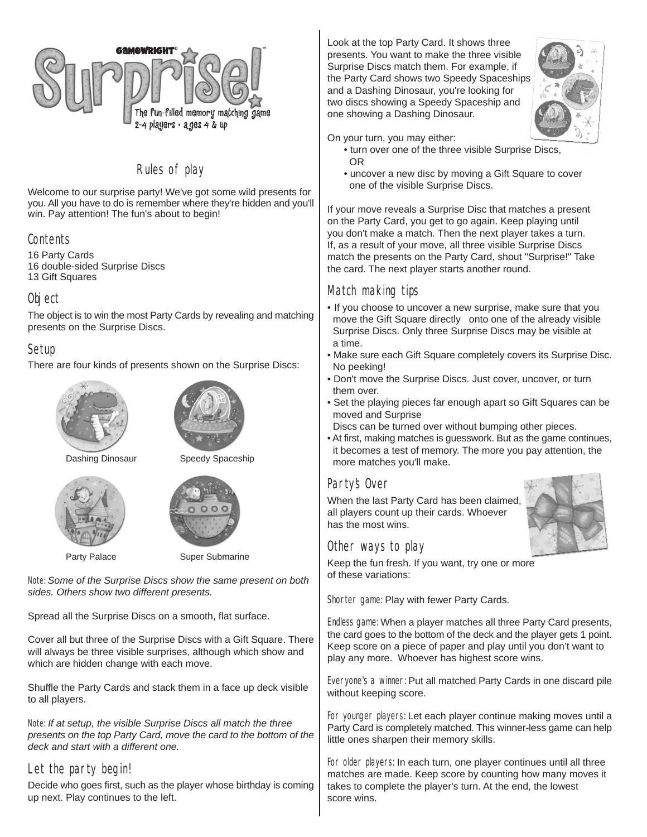

# Rules of play

Welcome to our surprise party! We've got some wild presents for you. All you have to do is remember where they're hidden and you'll win. Pay attention! The fun's about to begin!

### Contents

16 Party Cards 16 double-sided Surprise Discs 13 Gift Squares

## Object

The object is to win the most Party Cards by revealing and matching presents on the Surprise Discs.

## Setup

There are four kinds of presents shown on the Surprise Discs:





Dashing Dinosaur Speedy Spaceship





Party Palace Super Submarine

Note: *Some of the Surprise Discs show the same present on both sides. Others show two different presents.*

Spread all the Surprise Discs on a smooth, flat surface.

Cover all but three of the Surprise Discs with a Gift Square. There will always be three visible surprises, although which show and which are hidden change with each move.

Shuffle the Party Cards and stack them in a face up deck visible to all players.

Note: *If at setup, the visible Surprise Discs all match the three presents on the top Party Card, move the card to the bottom of the deck and start with a different one.*

## Let the party begin!

Decide who goes first, such as the player whose birthday is coming up next. Play continues to the left.

Look at the top Party Card. It shows three presents. You want to make the three visible Surprise Discs match them. For example, if the Party Card shows two Speedy Spaceships and a Dashing Dinosaur, you're looking for two discs showing a Speedy Spaceship and one showing a Dashing Dinosaur.



On your turn, you may either:

- turn over one of the three visible Surprise Discs, OR
- uncover a new disc by moving a Gift Square to cover one of the visible Surprise Discs.

If your move reveals a Surprise Disc that matches a present on the Party Card, you get to go again. Keep playing until you don't make a match. Then the next player takes a turn. If, as a result of your move, all three visible Surprise Discs match the presents on the Party Card, shout "Surprise!" Take the card. The next player starts another round.

## Match making tips

- If you choose to uncover a new surprise, make sure that you move the Gift Square directly onto one of the already visible Surprise Discs. Only three Surprise Discs may be visible at a time.
- Make sure each Gift Square completely covers its Surprise Disc. No peeking!
- Don't move the Surprise Discs. Just cover, uncover, or turn them over.
- Set the playing pieces far enough apart so Gift Squares can be moved and Surprise
- Discs can be turned over without bumping other pieces.
- At first, making matches is guesswork. But as the game continues, it becomes a test of memory. The more you pay attention, the more matches you'll make.

## Party's Over

When the last Party Card has been claimed, all players count up their cards. Whoever has the most wins.





Keep the fun fresh. If you want, try one or more of these variations:

Shorter game: Play with fewer Party Cards.

Endless game: When a player matches all three Party Card presents, the card goes to the bottom of the deck and the player gets 1 point. Keep score on a piece of paper and play until you don't want to play any more. Whoever has highest score wins.

Everyone's a winner: Put all matched Party Cards in one discard pile without keeping score.

For younger players: Let each player continue making moves until a Party Card is completely matched. This winner-less game can help little ones sharpen their memory skills.

For older players: In each turn, one player continues until all three matches are made. Keep score by counting how many moves it takes to complete the player's turn. At the end, the lowest score wins.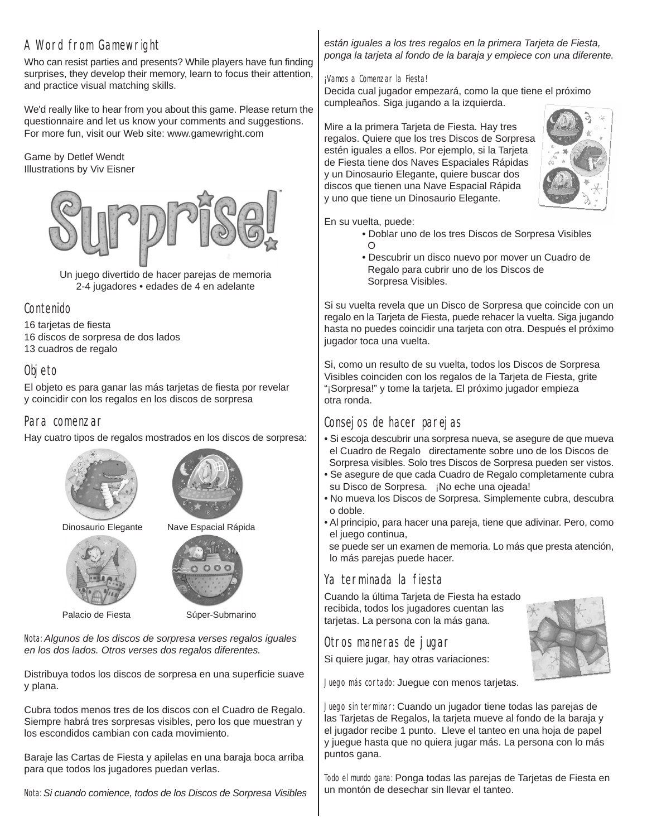# A Word from Gamewright

Who can resist parties and presents? While players have fun finding surprises, they develop their memory, learn to focus their attention, and practice visual matching skills.

We'd really like to hear from you about this game. Please return the questionnaire and let us know your comments and suggestions. For more fun, visit our Web site: www.gamewright.com

#### Game by Detlef Wendt Illustrations by Viv Eisner



Un juego divertido de hacer parejas de memoria 2-4 jugadores • edades de 4 en adelante

## Contenido

16 tarjetas de fiesta 16 discos de sorpresa de dos lados 13 cuadros de regalo

# Objeto

El objeto es para ganar las más tarjetas de fiesta por revelar y coincidir con los regalos en los discos de sorpresa

### Para comenzar

Hay cuatro tipos de regalos mostrados en los discos de sorpresa:





Dinosaurio Elegante Nave Espacial Rápida



Palacio de Fiesta Súper-Submarino

 $00$ 

Nota: *Algunos de los discos de sorpresa verses regalos iguales en los dos lados. Otros verses dos regalos diferentes.*

Distribuya todos los discos de sorpresa en una superficie suave y plana.

Cubra todos menos tres de los discos con el Cuadro de Regalo. Siempre habrá tres sorpresas visibles, pero los que muestran y los escondidos cambian con cada movimiento.

Baraje las Cartas de Fiesta y apilelas en una baraja boca arriba para que todos los jugadores puedan verlas.

Nota: *Si cuando comience, todos de los Discos de Sorpresa Visibles*

#### *están iguales a los tres regalos en la primera Tarjeta de Fiesta, ponga la tarjeta al fondo de la baraja y empiece con una diferente.*

#### ¡Vamos a Comenzar la Fiesta!

Decida cual jugador empezará, como la que tiene el próximo cumpleaños. Siga jugando a la izquierda.

Mire a la primera Tarjeta de Fiesta. Hay tres regalos. Quiere que los tres Discos de Sorpresa estén iguales a ellos. Por ejemplo, si la Tarjeta de Fiesta tiene dos Naves Espaciales Rápidas y un Dinosaurio Elegante, quiere buscar dos discos que tienen una Nave Espacial Rápida y uno que tiene un Dinosaurio Elegante.



En su vuelta, puede:

- Doblar uno de los tres Discos de Sorpresa Visibles  $\Omega$
- Descubrir un disco nuevo por mover un Cuadro de Regalo para cubrir uno de los Discos de Sorpresa Visibles.

Si su vuelta revela que un Disco de Sorpresa que coincide con un regalo en la Tarjeta de Fiesta, puede rehacer la vuelta. Siga jugando hasta no puedes coincidir una tarjeta con otra. Después el próximo jugador toca una vuelta.

Si, como un resulto de su vuelta, todos los Discos de Sorpresa Visibles coinciden con los regalos de la Tarjeta de Fiesta, grite "¡Sorpresa!" y tome la tarjeta. El próximo jugador empieza otra ronda.

# Consejos de hacer parejas

- Si escoja descubrir una sorpresa nueva, se asegure de que mueva el Cuadro de Regalo directamente sobre uno de los Discos de Sorpresa visibles. Solo tres Discos de Sorpresa pueden ser vistos.
- Se asegure de que cada Cuadro de Regalo completamente cubra su Disco de Sorpresa. ¡No eche una ojeada!
- No mueva los Discos de Sorpresa. Simplemente cubra, descubra o doble.
- Al principio, para hacer una pareja, tiene que adivinar. Pero, como el juego continua,

 se puede ser un examen de memoria. Lo más que presta atención, lo más parejas puede hacer.

# Ya terminada la fiesta

Cuando la última Tarjeta de Fiesta ha estado recibida, todos los jugadores cuentan las tarjetas. La persona con la más gana.

## Otros maneras de jugar

Si quiere jugar, hay otras variaciones:



Juego sin terminar: Cuando un jugador tiene todas las parejas de las Tarjetas de Regalos, la tarjeta mueve al fondo de la baraja y el jugador recibe 1 punto. Lleve el tanteo en una hoja de papel y juegue hasta que no quiera jugar más. La persona con lo más puntos gana.

Todo el mundo gana: Ponga todas las parejas de Tarjetas de Fiesta en un montón de desechar sin llevar el tanteo.

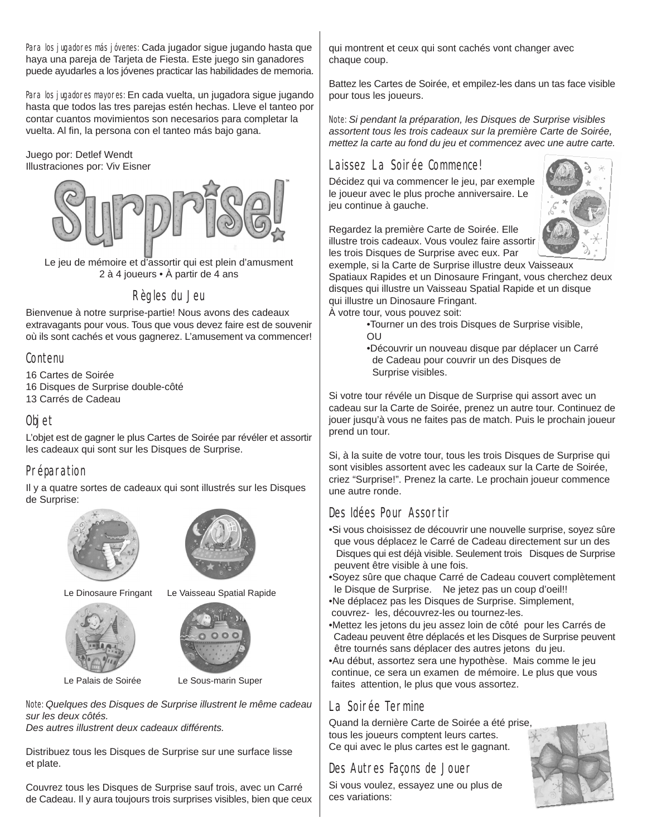Para los jugadores más jóvenes: Cada jugador sigue jugando hasta que haya una pareja de Tarjeta de Fiesta. Este juego sin ganadores puede ayudarles a los jóvenes practicar las habilidades de memoria.

Para los jugadores mayores: En cada vuelta, un jugadora sigue jugando hasta que todos las tres parejas estén hechas. Lleve el tanteo por contar cuantos movimientos son necesarios para completar la vuelta. Al fin, la persona con el tanteo más bajo gana.

#### Juego por: Detlef Wendt Illustraciones por: Viv Eisner



Le jeu de mémoire et d'assortir qui est plein d'amusment 2 à 4 joueurs • À partir de 4 ans

# Règles du Jeu

Bienvenue à notre surprise-partie! Nous avons des cadeaux extravagants pour vous. Tous que vous devez faire est de souvenir où ils sont cachés et vous gagnerez. L'amusement va commencer!

## Contenu

- 16 Cartes de Soirée 16 Disques de Surprise double-côté
- 13 Carrés de Cadeau

## Objet

L'objet est de gagner le plus Cartes de Soirée par révéler et assortir les cadeaux qui sont sur les Disques de Surprise.

## Préparation

Il y a quatre sortes de cadeaux qui sont illustrés sur les Disques de Surprise:







Le Dinosaure Fringant Le Vaisseau Spatial Rapide





Le Palais de Soirée Le Sous-marin Super

Note: *Quelques des Disques de Surprise illustrent le même cadeau sur les deux côtés.*

*Des autres illustrent deux cadeaux différents.*

Distribuez tous les Disques de Surprise sur une surface lisse et plate.

Couvrez tous les Disques de Surprise sauf trois, avec un Carré de Cadeau. Il y aura toujours trois surprises visibles, bien que ceux

qui montrent et ceux qui sont cachés vont changer avec chaque coup.

Battez les Cartes de Soirée, et empilez-les dans un tas face visible pour tous les joueurs.

Note: *Si pendant la préparation, les Disques de Surprise visibles assortent tous les trois cadeaux sur la première Carte de Soirée, mettez la carte au fond du jeu et commencez avec une autre carte.*

# Laissez La Soirée Commence!

Décidez qui va commencer le jeu, par exemple le joueur avec le plus proche anniversaire. Le jeu continue à gauche.



Regardez la première Carte de Soirée. Elle illustre trois cadeaux. Vous voulez faire assortir les trois Disques de Surprise avec eux. Par

exemple, si la Carte de Surprise illustre deux Vaisseaux Spatiaux Rapides et un Dinosaure Fringant, vous cherchez deux disques qui illustre un Vaisseau Spatial Rapide et un disque qui illustre un Dinosaure Fringant.

À votre tour, vous pouvez soit:

- •Tourner un des trois Disques de Surprise visible, OU
- •Découvrir un nouveau disque par déplacer un Carré de Cadeau pour couvrir un des Disques de Surprise visibles.

Si votre tour révéle un Disque de Surprise qui assort avec un cadeau sur la Carte de Soirée, prenez un autre tour. Continuez de jouer jusqu'à vous ne faites pas de match. Puis le prochain joueur prend un tour.

Si, à la suite de votre tour, tous les trois Disques de Surprise qui sont visibles assortent avec les cadeaux sur la Carte de Soirée, criez "Surprise!". Prenez la carte. Le prochain joueur commence une autre ronde.

# Des Idées Pour Assortir

•Si vous choisissez de découvrir une nouvelle surprise, soyez sûre que vous déplacez le Carré de Cadeau directement sur un des Disques qui est déjà visible. Seulement trois Disques de Surprise peuvent être visible à une fois.

•Soyez sûre que chaque Carré de Cadeau couvert complètement le Disque de Surprise. Ne jetez pas un coup d'oeil!!

•Ne déplacez pas les Disques de Surprise. Simplement, couvrez- les, découvrez-les ou tournez-les.

- •Mettez les jetons du jeu assez loin de côté pour les Carrés de Cadeau peuvent être déplacés et les Disques de Surprise peuvent être tournés sans déplacer des autres jetons du jeu.
- •Au début, assortez sera une hypothèse. Mais comme le jeu continue, ce sera un examen de mémoire. Le plus que vous faites attention, le plus que vous assortez.

# La Soirée Termine

Quand la dernière Carte de Soirée a été prise, tous les joueurs comptent leurs cartes. Ce qui avec le plus cartes est le gagnant.

# Des Autres Façons de Jouer

Si vous voulez, essayez une ou plus de ces variations: